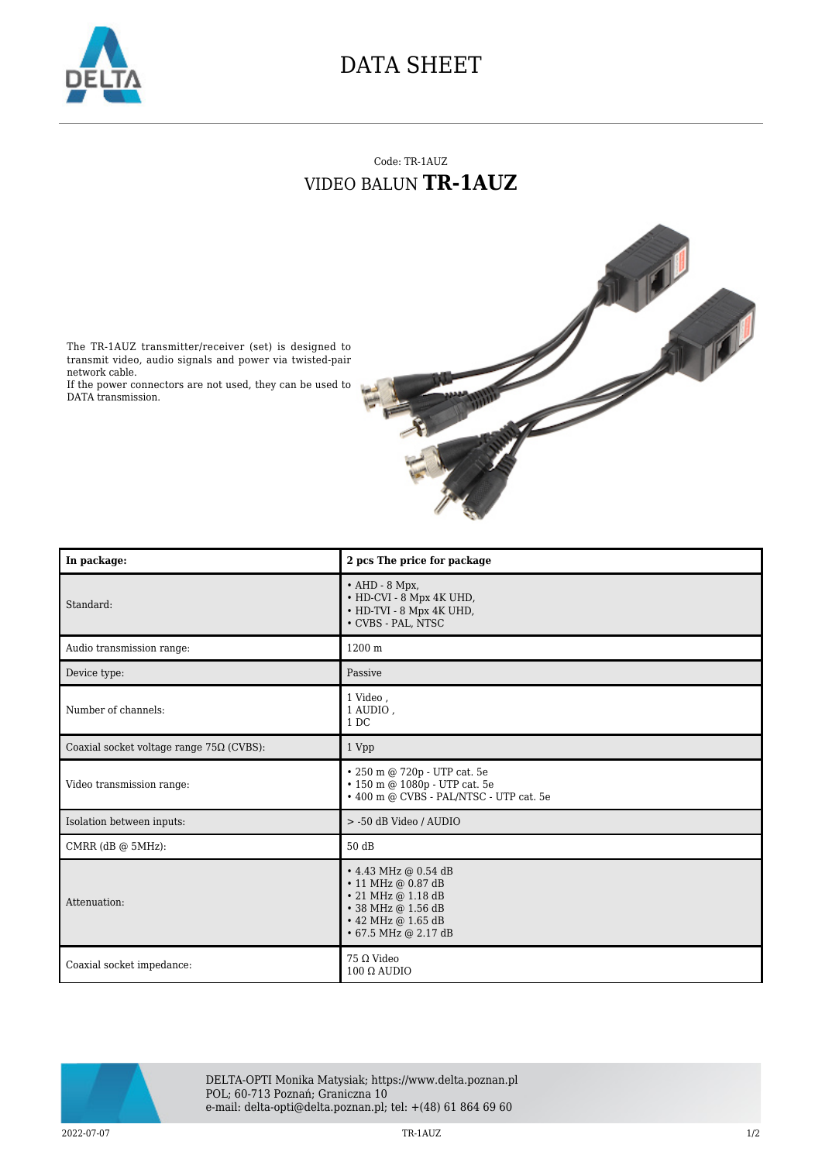

## DATA SHEET

## Code: TR-1AUZ VIDEO BALUN **TR-1AUZ**



The TR-1AUZ transmitter/receiver (set) is designed to transmit video, audio signals and power via twisted-pair network cable.

If the power connectors are not used, they can be used to DATA transmission.

| In package:                                     | 2 pcs The price for package                                                                                                                            |
|-------------------------------------------------|--------------------------------------------------------------------------------------------------------------------------------------------------------|
| Standard:                                       | $\bullet$ AHD - 8 Mpx,<br>• HD-CVI - 8 Mpx 4K UHD,<br>• HD-TVI - 8 Mpx 4K UHD,<br>• CVBS - PAL, NTSC                                                   |
| Audio transmission range:                       | 1200 m                                                                                                                                                 |
| Device type:                                    | Passive                                                                                                                                                |
| Number of channels:                             | 1 Video,<br>1 AUDIO,<br>1 DC                                                                                                                           |
| Coaxial socket voltage range $75\Omega$ (CVBS): | 1 Vpp                                                                                                                                                  |
| Video transmission range:                       | • 250 m @ 720p - UTP cat. 5e<br>$\cdot$ 150 m @ 1080p - UTP cat. 5e<br>• 400 m @ CVBS - PAL/NTSC - UTP cat. 5e                                         |
| Isolation between inputs:                       | > -50 dB Video / AUDIO                                                                                                                                 |
| CMRR $(dB @ 5MHz)$ :                            | 50 dB                                                                                                                                                  |
| Attenuation:                                    | • 4.43 MHz @ 0.54 dB<br>$\cdot$ 11 MHz @ 0.87 dB<br>$\cdot$ 21 MHz @ 1.18 dB<br>• 38 MHz @ 1.56 dB<br>• 42 MHz @ 1.65 dB<br>$\cdot$ 67.5 MHz @ 2.17 dB |
| Coaxial socket impedance:                       | 75 Ω Video<br>$100 \Omega$ AUDIO                                                                                                                       |



DELTA-OPTI Monika Matysiak; https://www.delta.poznan.pl POL; 60-713 Poznań; Graniczna 10 e-mail: delta-opti@delta.poznan.pl; tel: +(48) 61 864 69 60